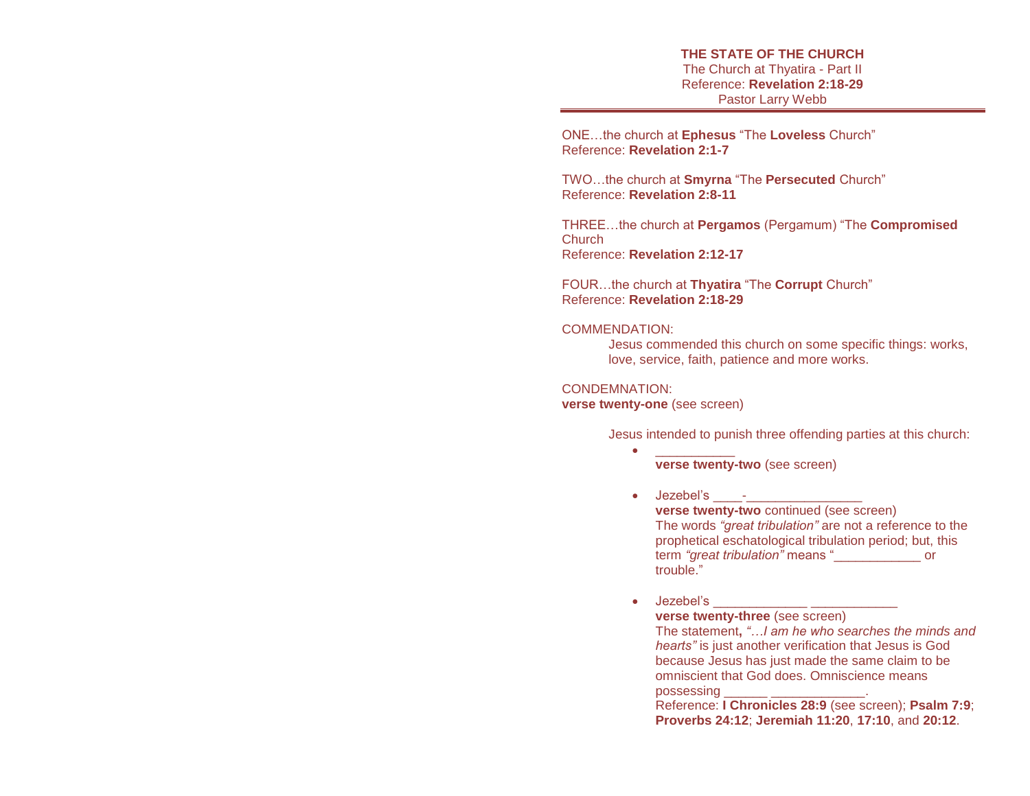**THE STATE OF THE CHURCH** The Church at Thyatira - Part II Reference: **Revelation 2:18-29** Pastor Larry Webb

ONE…the church at **Ephesus** "The **Loveless** Church" Reference: **Revelation 2:1-7** 

TWO…the church at **Smyrna** "The **Persecuted** Church" Reference: **Revelation 2:8-11**

THREE…the church at **Pergamos** (Pergamum) "The **Compromised Church** Reference: **Revelation 2:12-17**

FOUR…the church at **Thyatira** "The **Corrupt** Church" Reference: **Revelation 2:18-29** 

#### COMMENDATION:

Jesus commended this church on some specific things: works, love, service, faith, patience and more works.

### CONDEMNATION:

**verse twenty-one** (see screen)

Jesus intended to punish three offending parties at this church:

- \_\_\_\_\_\_\_\_\_\_\_ **verse twenty-two** (see screen)
- $\bullet$  dezebel's  $\qquad$  **verse twenty-two** continued (see screen) The words *"great tribulation"* are not a reference to the prophetical eschatological tribulation period; but, this term *"great tribulation"* means "\_\_\_\_\_\_\_\_\_\_\_\_ or trouble."
- $\bullet$  dezebel's  $\bullet$ **verse twenty-three** (see screen) The statement**,** *"…I am he who searches the minds and hearts"* is just another verification that Jesus is God because Jesus has just made the same claim to be omniscient that God does. Omniscience means possessing

Reference: **I Chronicles 28:9** (see screen); **Psalm 7:9**; **Proverbs 24:12**; **Jeremiah 11:20**, **17:10**, and **20:12**.